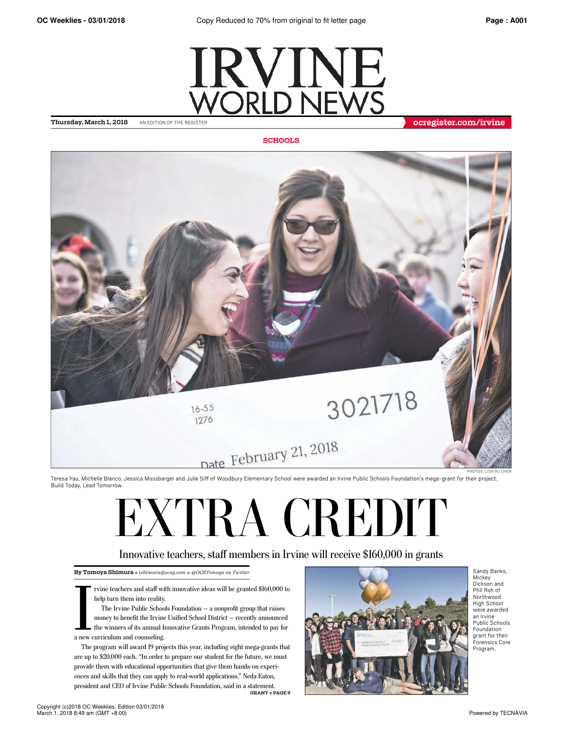

**SCHOOLS**



Teresa Yau, Michelle Blanco, Jessica Mossbarger and Julie Siff of Woodbury Elementary School were awarded an Irvine Public Schools Foundation's mega-grant for their project, Build Today, Lead Tomorrow.

# EXTRA CREDIT

## Innovative teachers, staff members in Irvine will receive \$160,000 in grants

**By Tomoya Shimura »** *tshimura@scng.com* **»** *@OCRTomoya on Twitter*

rvine teachers and staff with innovative ideas will be granted \$160,000 to help turn them into reality.

The teachers and staff will<br>help turn them into reality.<br>The Irvine Public School<br>money to benefit the Irvine<br>the winners of its annual Ir<br>a new curriculum and counseling. The Irvine Public Schools Foundation — a nonprofit group that raises money to benefit the Irvine Unified School District — recently announced the winners of its annual Innovative Grants Program, intended to pay for

The program will award 19 projects this year, including eight mega-grants that are up to \$20,000 each. "In order to prepare our student for the future, we must provide them with educational opportunities that give them hands-on experiences and skills that they can apply to real-world applications," Neda Eaton, president and CEO of Irvine Public Schools Foundation, said in a statement. **GRANT » PAGE 9**



Sandy Banks, Mickey Dickson and Phil Roh of Northwood High School were awarded an Irvine Public Schools Foundation grant for their Forensics Core Program.